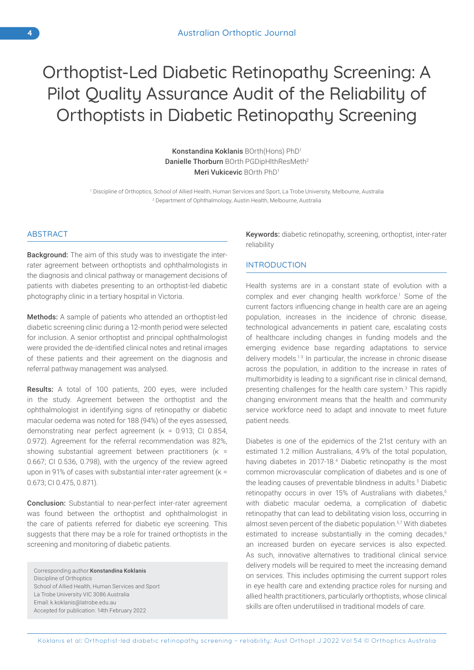# Orthoptist-Led Diabetic Retinopathy Screening: A Pilot Quality Assurance Audit of the Reliability of Orthoptists in Diabetic Retinopathy Screening

Konstandina Koklanis BOrth(Hons) PhD1 Danielle Thorburn BOrth PGDipHlthResMeth<sup>2</sup> Meri Vukicevic BOrth PhD1

1 Discipline of Orthoptics, School of Allied Health, Human Services and Sport, La Trobe University, Melbourne, Australia 2 Department of Ophthalmology, Austin Health, Melbourne, Australia

### ABSTRACT

Background: The aim of this study was to investigate the interrater agreement between orthoptists and ophthalmologists in the diagnosis and clinical pathway or management decisions of patients with diabetes presenting to an orthoptist-led diabetic photography clinic in a tertiary hospital in Victoria.

Methods: A sample of patients who attended an orthoptist-led diabetic screening clinic during a 12-month period were selected for inclusion. A senior orthoptist and principal ophthalmologist were provided the de-identified clinical notes and retinal images of these patients and their agreement on the diagnosis and referral pathway management was analysed.

Results: A total of 100 patients, 200 eyes, were included in the study. Agreement between the orthoptist and the ophthalmologist in identifying signs of retinopathy or diabetic macular oedema was noted for 188 (94%) of the eyes assessed, demonstrating near perfect agreement (κ = 0.913; CI 0.854, 0.972). Agreement for the referral recommendation was 82%, showing substantial agreement between practitioners (κ = 0.667; CI 0.536, 0.798), with the urgency of the review agreed upon in 91% of cases with substantial inter-rater agreement (κ = 0.673; CI 0.475, 0.871).

Conclusion: Substantial to near-perfect inter-rater agreement was found between the orthoptist and ophthalmologist in the care of patients referred for diabetic eye screening. This suggests that there may be a role for trained orthoptists in the screening and monitoring of diabetic patients.

Corresponding author:Konstandina Koklanis Discipline of Orthoptics School of Allied Health, Human Services and Sport La Trobe University VIC 3086 Australia Email: k.koklanis@latrobe.edu.au Accepted for publication: 14th February 2022

Keywords: diabetic retinopathy, screening, orthoptist, inter-rater reliability

## INTRODUCTION

Health systems are in a constant state of evolution with a complex and ever changing health workforce.<sup>1</sup> Some of the current factors influencing change in health care are an ageing population, increases in the incidence of chronic disease, technological advancements in patient care, escalating costs of healthcare including changes in funding models and the emerging evidence base regarding adaptations to service delivery models.<sup>1-3</sup> In particular, the increase in chronic disease across the population, in addition to the increase in rates of multimorbidity is leading to a significant rise in clinical demand, presenting challenges for the health care system.<sup>3</sup> This rapidly changing environment means that the health and community service workforce need to adapt and innovate to meet future patient needs.

Diabetes is one of the epidemics of the 21st century with an estimated 1.2 million Australians, 4.9% of the total population, having diabetes in 2017-18.<sup>4</sup> Diabetic retinopathy is the most common microvascular complication of diabetes and is one of the leading causes of preventable blindness in adults.<sup>5</sup> Diabetic retinopathy occurs in over 15% of Australians with diabetes.<sup>6</sup> with diabetic macular oedema, a complication of diabetic retinopathy that can lead to debilitating vision loss, occurring in almost seven percent of the diabetic population.<sup>5,7</sup> With diabetes estimated to increase substantially in the coming decades,<sup>6</sup> an increased burden on eyecare services is also expected. As such, innovative alternatives to traditional clinical service delivery models will be required to meet the increasing demand on services. This includes optimising the current support roles in eye health care and extending practice roles for nursing and allied health practitioners, particularly orthoptists, whose clinical skills are often underutilised in traditional models of care.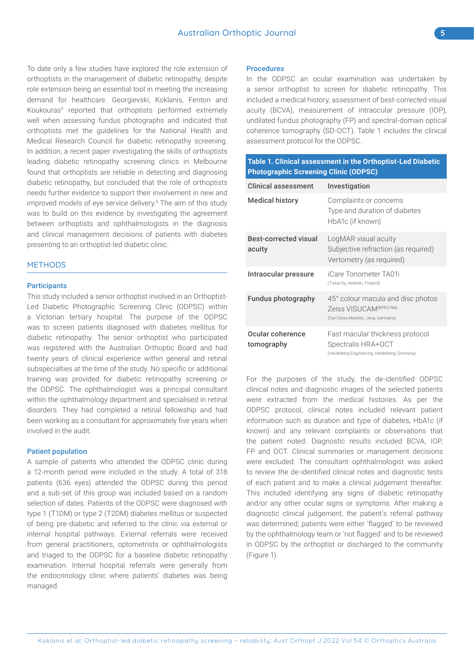To date only a few studies have explored the role extension of orthoptists in the management of diabetic retinopathy, despite role extension being an essential tool in meeting the increasing demand for healthcare. Georgievski, Koklanis, Fenton and Koukouras<sup>8</sup> reported that orthoptists performed extremely well when assessing fundus photographs and indicated that orthoptists met the guidelines for the National Health and Medical Research Council for diabetic retinopathy screening. In addition, a recent paper investigating the skills of orthoptists leading diabetic retinopathy screening clinics in Melbourne found that orthoptists are reliable in detecting and diagnosing diabetic retinopathy, but concluded that the role of orthoptists needs further evidence to support their involvement in new and improved models of eye service delivery.<sup>9</sup> The aim of this study was to build on this evidence by investigating the agreement between orthoptists and ophthalmologists in the diagnosis and clinical management decisions of patients with diabetes

presenting to an orthoptist-led diabetic clinic.

### **METHODS**

#### **Participants**

This study included a senior orthoptist involved in an Orthoptist-Led Diabetic Photographic Screening Clinic (ODPSC) within a Victorian tertiary hospital. The purpose of the ODPSC was to screen patients diagnosed with diabetes mellitus for diabetic retinopathy. The senior orthoptist who participated was registered with the Australian Orthoptic Board and had twenty years of clinical experience within general and retinal subspecialties at the time of the study. No specific or additional training was provided for diabetic retinopathy screening or the ODPSC. The ophthalmologist was a principal consultant within the ophthalmology department and specialised in retinal disorders. They had completed a retinal fellowship and had been working as a consultant for approximately five years when involved in the audit.

## Patient population

A sample of patients who attended the ODPSC clinic during a 12-month period were included in the study. A total of 318 patients (636 eyes) attended the ODPSC during this period and a sub-set of this group was included based on a random selection of dates. Patients of the ODPSC were diagnosed with type 1 (T1DM) or type 2 (T2DM) diabetes mellitus or suspected of being pre-diabetic and referred to the clinic via external or internal hospital pathways. External referrals were received from general practitioners, optometrists or ophthalmologists and triaged to the ODPSC for a baseline diabetic retinopathy examination. Internal hospital referrals were generally from the endocrinology clinic where patients' diabetes was being managed.

# Procedures

In the ODPSC an ocular examination was undertaken by a senior orthoptist to screen for diabetic retinopathy. This included a medical history, assessment of best-corrected visual acuity (BCVA), measurement of intraocular pressure (IOP), undilated fundus photography (FP) and spectral-domain optical coherence tomography (SD-OCT). Table 1 includes the clinical assessment protocol for the ODPSC.

| Table 1. Clinical assessment in the Orthoptist-Led Diabetic<br><b>Photographic Screening Clinic (ODPSC)</b> |                                                                                                        |
|-------------------------------------------------------------------------------------------------------------|--------------------------------------------------------------------------------------------------------|
| <b>Clinical assessment</b>                                                                                  | Investigation                                                                                          |
| <b>Medical history</b>                                                                                      | Complaints or concerns<br>Type and duration of diabetes<br>HbA1c (if known)                            |
| <b>Best-corrected visual</b><br>acuity                                                                      | LogMAR visual acuity<br>Subjective refraction (as required)<br>Vertometry (as required)                |
| Intraocular pressure                                                                                        | iCare Tonometer TA01i<br>(Tiolat Oy, Helsinki, Finland)                                                |
| Fundus photography                                                                                          | 45° colour macula and disc photos<br>Zeiss VISUCAM®PRONM<br>(Carl Zeiss Meditec, Jena, Germany)        |
| Ocular coherence<br>tomography                                                                              | Fast macular thickness protocol<br>Spectralis HRA+OCT<br>(Heidelberg Engineering, Heidelberg, Germany) |

For the purposes of the study, the de-identified ODPSC clinical notes and diagnostic images of the selected patients were extracted from the medical histories. As per the ODPSC protocol, clinical notes included relevant patient information such as duration and type of diabetes, HbA1c (if known) and any relevant complaints or observations that the patient noted. Diagnostic results included BCVA, IOP, FP and OCT. Clinical summaries or management decisions were excluded. The consultant ophthalmologist was asked to review the de-identified clinical notes and diagnostic tests of each patient and to make a clinical judgement thereafter. This included identifying any signs of diabetic retinopathy and/or any other ocular signs or symptoms. After making a diagnostic clinical judgement, the patient's referral pathway was determined; patients were either 'flagged' to be reviewed by the ophthalmology team or 'not flagged' and to be reviewed in ODPSC by the orthoptist or discharged to the community (Figure 1).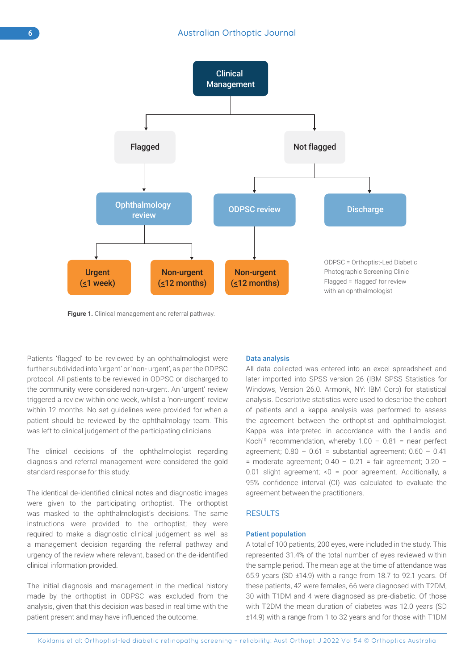

Figure 1. Clinical management and referral pathway.

Patients 'flagged' to be reviewed by an ophthalmologist were further subdivided into 'urgent' or 'non- urgent', as per the ODPSC protocol. All patients to be reviewed in ODPSC or discharged to the community were considered non-urgent. An 'urgent' review triggered a review within one week, whilst a 'non-urgent' review within 12 months. No set guidelines were provided for when a patient should be reviewed by the ophthalmology team. This was left to clinical judgement of the participating clinicians.

The clinical decisions of the ophthalmologist regarding diagnosis and referral management were considered the gold standard response for this study.

The identical de-identified clinical notes and diagnostic images were given to the participating orthoptist. The orthoptist was masked to the ophthalmologist's decisions. The same instructions were provided to the orthoptist; they were required to make a diagnostic clinical judgement as well as a management decision regarding the referral pathway and urgency of the review where relevant, based on the de-identified clinical information provided.

The initial diagnosis and management in the medical history made by the orthoptist in ODPSC was excluded from the analysis, given that this decision was based in real time with the patient present and may have influenced the outcome.

### Data analysis

All data collected was entered into an excel spreadsheet and later imported into SPSS version 26 (IBM SPSS Statistics for Windows, Version 26.0. Armonk, NY: IBM Corp) for statistical analysis. Descriptive statistics were used to describe the cohort of patients and a kappa analysis was performed to assess the agreement between the orthoptist and ophthalmologist. Kappa was interpreted in accordance with the Landis and Koch<sup>10</sup> recommendation, whereby  $1.00 - 0.81$  = near perfect agreement;  $0.80 - 0.61$  = substantial agreement;  $0.60 - 0.41$ = moderate agreement;  $0.40 - 0.21$  = fair agreement;  $0.20 -$ 0.01 slight agreement; <0 = poor agreement. Additionally, a 95% confidence interval (CI) was calculated to evaluate the agreement between the practitioners.

## **RESULTS**

## Patient population

A total of 100 patients, 200 eyes, were included in the study. This represented 31.4% of the total number of eyes reviewed within the sample period. The mean age at the time of attendance was 65.9 years (SD ±14.9) with a range from 18.7 to 92.1 years. Of these patients, 42 were females, 66 were diagnosed with T2DM, 30 with T1DM and 4 were diagnosed as pre-diabetic. Of those with T2DM the mean duration of diabetes was 12.0 years (SD ±14.9) with a range from 1 to 32 years and for those with T1DM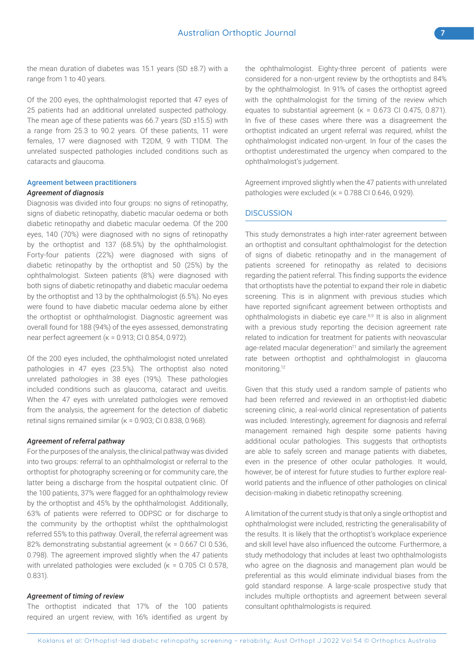the mean duration of diabetes was 15.1 years (SD ±8.7) with a range from 1 to 40 years.

Of the 200 eyes, the ophthalmologist reported that 47 eyes of 25 patients had an additional unrelated suspected pathology. The mean age of these patients was 66.7 years (SD ±15.5) with a range from 25.3 to 90.2 years. Of these patients, 11 were females, 17 were diagnosed with T2DM, 9 with T1DM. The unrelated suspected pathologies included conditions such as cataracts and glaucoma.

#### Agreement between practitioners

#### *Agreement of diagnosis*

Diagnosis was divided into four groups: no signs of retinopathy, signs of diabetic retinopathy, diabetic macular oedema or both diabetic retinopathy and diabetic macular oedema. Of the 200 eyes, 140 (70%) were diagnosed with no signs of retinopathy by the orthoptist and 137 (68.5%) by the ophthalmologist. Forty-four patients (22%) were diagnosed with signs of diabetic retinopathy by the orthoptist and 50 (25%) by the ophthalmologist. Sixteen patients (8%) were diagnosed with both signs of diabetic retinopathy and diabetic macular oedema by the orthoptist and 13 by the ophthalmologist (6.5%). No eyes were found to have diabetic macular oedema alone by either the orthoptist or ophthalmologist. Diagnostic agreement was overall found for 188 (94%) of the eyes assessed, demonstrating near perfect agreement (κ = 0.913; CI 0.854, 0.972).

Of the 200 eyes included, the ophthalmologist noted unrelated pathologies in 47 eyes (23.5%). The orthoptist also noted unrelated pathologies in 38 eyes (19%). These pathologies included conditions such as glaucoma, cataract and uveitis. When the 47 eyes with unrelated pathologies were removed from the analysis, the agreement for the detection of diabetic retinal signs remained similar ( $κ = 0.903$ ; CI 0.838, 0.968).

#### *Agreement of referral pathway*

For the purposes of the analysis, the clinical pathway was divided into two groups: referral to an ophthalmologist or referral to the orthoptist for photography screening or for community care, the latter being a discharge from the hospital outpatient clinic. Of the 100 patients, 37% were flagged for an ophthalmology review by the orthoptist and 45% by the ophthalmologist. Additionally, 63% of patients were referred to ODPSC or for discharge to the community by the orthoptist whilst the ophthalmologist referred 55% to this pathway. Overall, the referral agreement was 82% demonstrating substantial agreement (κ = 0.667 CI 0.536, 0.798). The agreement improved slightly when the 47 patients with unrelated pathologies were excluded ( $k = 0.705$  CI 0.578, 0.831).

## *Agreement of timing of review*

The orthoptist indicated that 17% of the 100 patients required an urgent review, with 16% identified as urgent by the ophthalmologist. Eighty-three percent of patients were considered for a non-urgent review by the orthoptists and 84% by the ophthalmologist. In 91% of cases the orthoptist agreed with the ophthalmologist for the timing of the review which equates to substantial agreement (κ = 0.673 CI 0.475, 0.871). In five of these cases where there was a disagreement the orthoptist indicated an urgent referral was required, whilst the ophthalmologist indicated non-urgent. In four of the cases the orthoptist underestimated the urgency when compared to the ophthalmologist's judgement.

Agreement improved slightly when the 47 patients with unrelated pathologies were excluded (κ = 0.788 CI 0.646, 0.929).

## **DISCUSSION**

This study demonstrates a high inter-rater agreement between an orthoptist and consultant ophthalmologist for the detection of signs of diabetic retinopathy and in the management of patients screened for retinopathy as related to decisions regarding the patient referral. This finding supports the evidence that orthoptists have the potential to expand their role in diabetic screening. This is in alignment with previous studies which have reported significant agreement between orthoptists and ophthalmologists in diabetic eye care.8,9 It is also in alignment with a previous study reporting the decision agreement rate related to indication for treatment for patients with neovascular age-related macular degeneration<sup>11</sup> and similarly the agreement rate between orthoptist and ophthalmologist in glaucoma monitoring.12

Given that this study used a random sample of patients who had been referred and reviewed in an orthoptist-led diabetic screening clinic, a real-world clinical representation of patients was included. Interestingly, agreement for diagnosis and referral management remained high despite some patients having additional ocular pathologies. This suggests that orthoptists are able to safely screen and manage patients with diabetes, even in the presence of other ocular pathologies. It would, however, be of interest for future studies to further explore realworld patients and the influence of other pathologies on clinical decision-making in diabetic retinopathy screening.

A limitation of the current study is that only a single orthoptist and ophthalmologist were included, restricting the generalisability of the results. It is likely that the orthoptist's workplace experience and skill level have also influenced the outcome. Furthermore, a study methodology that includes at least two ophthalmologists who agree on the diagnosis and management plan would be preferential as this would eliminate individual biases from the gold standard response. A large-scale prospective study that includes multiple orthoptists and agreement between several consultant ophthalmologists is required.